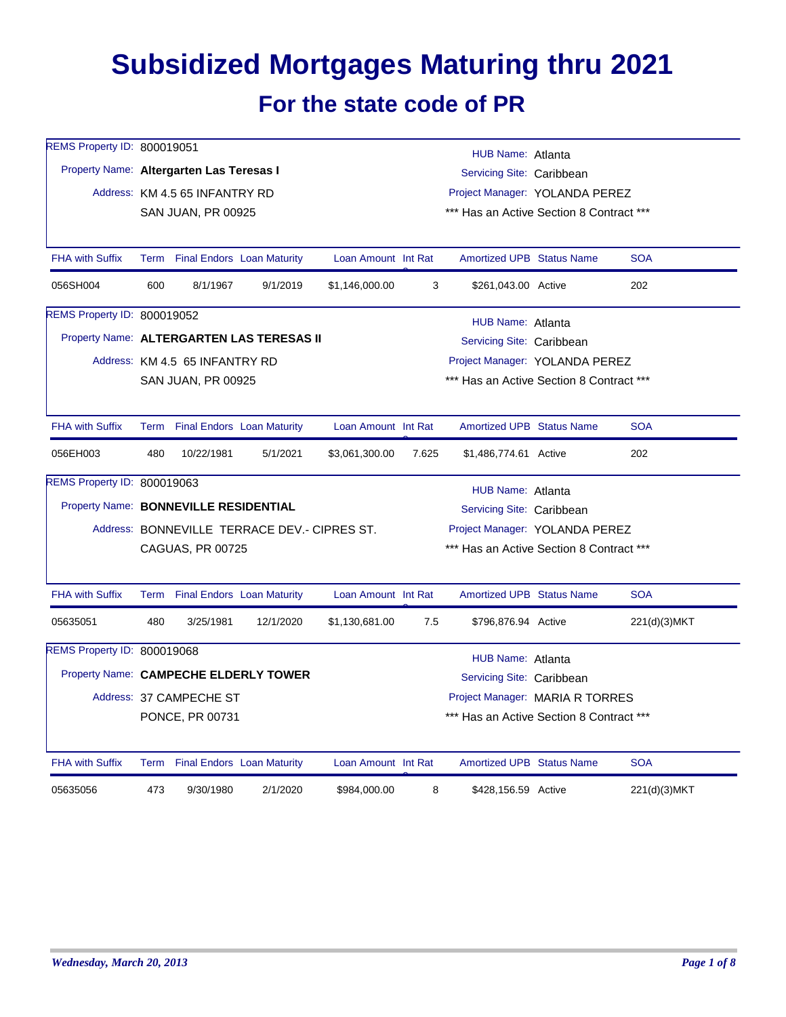## **Subsidized Mortgages Maturing thru 2021 For the state code of PR**

| REMS Property ID: 800019051              |     |                                |                                              |                     |       | <b>HUB Name: Atlanta</b>                 |              |
|------------------------------------------|-----|--------------------------------|----------------------------------------------|---------------------|-------|------------------------------------------|--------------|
| Property Name: Altergarten Las Teresas I |     |                                |                                              |                     |       | Servicing Site: Caribbean                |              |
|                                          |     | Address: KM 4.5 65 INFANTRY RD |                                              |                     |       | Project Manager: YOLANDA PEREZ           |              |
|                                          |     | SAN JUAN, PR 00925             |                                              |                     |       | *** Has an Active Section 8 Contract *** |              |
|                                          |     |                                |                                              |                     |       |                                          |              |
| <b>FHA with Suffix</b>                   |     |                                | Term Final Endors Loan Maturity              | Loan Amount Int Rat |       | <b>Amortized UPB Status Name</b>         | <b>SOA</b>   |
| 056SH004                                 | 600 | 8/1/1967                       | 9/1/2019                                     | \$1,146,000.00      | 3     | \$261,043.00 Active                      | 202          |
| REMS Property ID: 800019052              |     |                                |                                              |                     |       | HUB Name: Atlanta                        |              |
|                                          |     |                                | Property Name: ALTERGARTEN LAS TERESAS II    |                     |       | Servicing Site: Caribbean                |              |
|                                          |     | Address: KM 4.5 65 INFANTRY RD |                                              |                     |       | Project Manager: YOLANDA PEREZ           |              |
|                                          |     | SAN JUAN, PR 00925             |                                              |                     |       | *** Has an Active Section 8 Contract *** |              |
|                                          |     |                                |                                              |                     |       |                                          |              |
| <b>FHA with Suffix</b>                   |     |                                | Term Final Endors Loan Maturity              | Loan Amount Int Rat |       | <b>Amortized UPB Status Name</b>         | <b>SOA</b>   |
| 056EH003                                 | 480 | 10/22/1981                     | 5/1/2021                                     | \$3,061,300.00      | 7.625 | \$1,486,774.61 Active                    | 202          |
| REMS Property ID: 800019063              |     |                                |                                              |                     |       | HUB Name: Atlanta                        |              |
| Property Name: BONNEVILLE RESIDENTIAL    |     |                                |                                              |                     |       | Servicing Site: Caribbean                |              |
|                                          |     |                                | Address: BONNEVILLE TERRACE DEV.- CIPRES ST. |                     |       | Project Manager: YOLANDA PEREZ           |              |
|                                          |     | CAGUAS, PR 00725               |                                              |                     |       | *** Has an Active Section 8 Contract *** |              |
|                                          |     |                                |                                              |                     |       |                                          |              |
| <b>FHA with Suffix</b>                   |     |                                | Term Final Endors Loan Maturity              | Loan Amount Int Rat |       | <b>Amortized UPB Status Name</b>         | <b>SOA</b>   |
| 05635051                                 | 480 | 3/25/1981                      | 12/1/2020                                    | \$1,130,681.00      | 7.5   | \$796,876.94 Active                      | 221(d)(3)MKT |
| REMS Property ID: 800019068              |     |                                |                                              |                     |       | HUB Name: Atlanta                        |              |
|                                          |     |                                | Property Name: CAMPECHE ELDERLY TOWER        |                     |       | Servicing Site: Caribbean                |              |
|                                          |     | Address: 37 CAMPECHE ST        |                                              |                     |       | Project Manager: MARIA R TORRES          |              |
|                                          |     | PONCE, PR 00731                |                                              |                     |       | *** Has an Active Section 8 Contract *** |              |
|                                          |     |                                |                                              |                     |       |                                          |              |
| <b>FHA with Suffix</b>                   |     |                                | Term Final Endors Loan Maturity              | Loan Amount Int Rat |       | <b>Amortized UPB Status Name</b>         | <b>SOA</b>   |
| 05635056                                 | 473 | 9/30/1980                      | 2/1/2020                                     | \$984,000.00        | 8     | \$428,156.59 Active                      | 221(d)(3)MKT |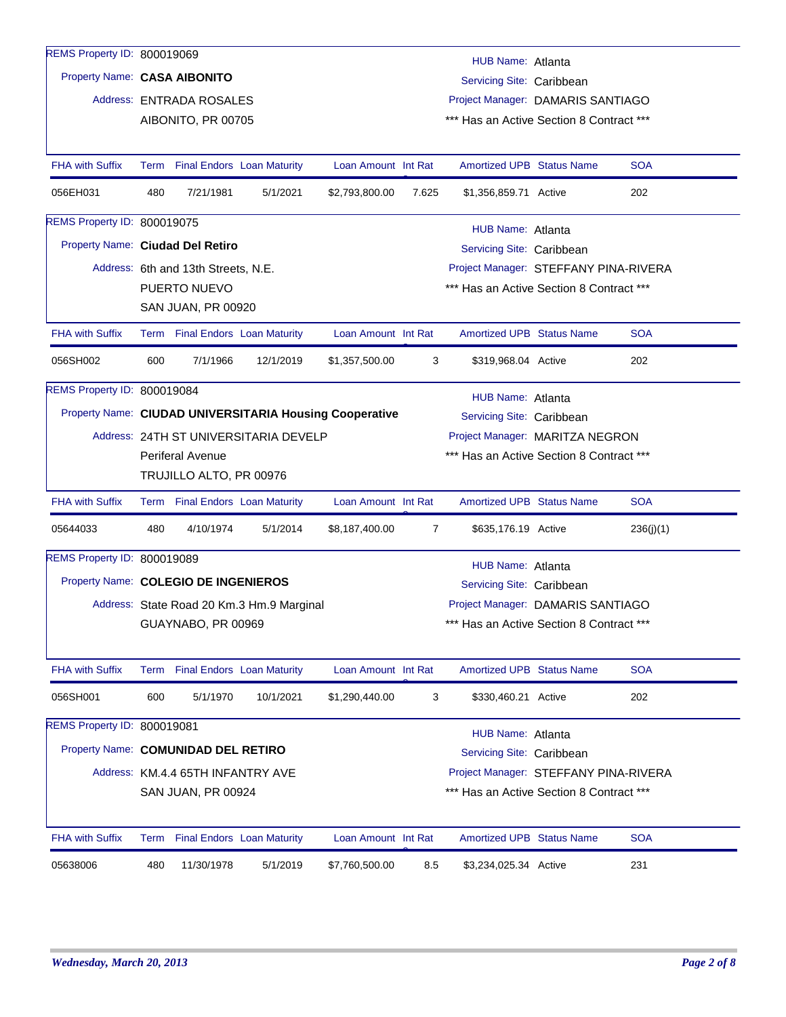| REMS Property ID: 800019069          |      |                                     |                                           |                                                         |                | HUB Name: Atlanta                                                             |            |
|--------------------------------------|------|-------------------------------------|-------------------------------------------|---------------------------------------------------------|----------------|-------------------------------------------------------------------------------|------------|
| Property Name: CASA AIBONITO         |      |                                     |                                           |                                                         |                | Servicing Site: Caribbean                                                     |            |
|                                      |      | Address: ENTRADA ROSALES            |                                           |                                                         |                | Project Manager: DAMARIS SANTIAGO                                             |            |
|                                      |      | AIBONITO, PR 00705                  |                                           |                                                         |                | *** Has an Active Section 8 Contract ***                                      |            |
|                                      |      |                                     |                                           |                                                         |                |                                                                               |            |
| <b>FHA with Suffix</b>               |      | Term Final Endors Loan Maturity     |                                           | Loan Amount Int Rat                                     |                | <b>Amortized UPB Status Name</b>                                              | <b>SOA</b> |
| 056EH031                             | 480  | 7/21/1981                           | 5/1/2021                                  | \$2,793,800.00                                          | 7.625          | \$1,356,859.71 Active                                                         | 202        |
| REMS Property ID: 800019075          |      |                                     |                                           |                                                         |                | HUB Name: Atlanta                                                             |            |
| Property Name: Ciudad Del Retiro     |      |                                     |                                           |                                                         |                | Servicing Site: Caribbean                                                     |            |
|                                      |      | Address: 6th and 13th Streets, N.E. |                                           |                                                         |                | Project Manager: STEFFANY PINA-RIVERA                                         |            |
|                                      |      | PUERTO NUEVO                        |                                           |                                                         |                | *** Has an Active Section 8 Contract ***                                      |            |
|                                      |      | SAN JUAN, PR 00920                  |                                           |                                                         |                |                                                                               |            |
| <b>FHA with Suffix</b>               |      | Term Final Endors Loan Maturity     |                                           | Loan Amount Int Rat                                     |                | <b>Amortized UPB Status Name</b>                                              | <b>SOA</b> |
| 056SH002                             | 600  | 7/1/1966                            | 12/1/2019                                 | \$1,357,500.00                                          | 3              | \$319,968.04 Active                                                           | 202        |
| REMS Property ID: 800019084          |      |                                     |                                           |                                                         |                | HUB Name: Atlanta                                                             |            |
|                                      |      |                                     |                                           | Property Name: CIUDAD UNIVERSITARIA Housing Cooperative |                | Servicing Site: Caribbean                                                     |            |
|                                      |      |                                     | Address: 24TH ST UNIVERSITARIA DEVELP     |                                                         |                | Project Manager: MARITZA NEGRON                                               |            |
|                                      |      | <b>Periferal Avenue</b>             |                                           |                                                         |                | *** Has an Active Section 8 Contract ***                                      |            |
|                                      |      | TRUJILLO ALTO, PR 00976             |                                           |                                                         |                |                                                                               |            |
| <b>FHA with Suffix</b>               |      | Term Final Endors Loan Maturity     |                                           | Loan Amount Int Rat                                     |                | <b>Amortized UPB Status Name</b>                                              | <b>SOA</b> |
| 05644033                             | 480  | 4/10/1974                           | 5/1/2014                                  | \$8,187,400.00                                          | $\overline{7}$ | \$635,176.19 Active                                                           | 236(j)(1)  |
| REMS Property ID: 800019089          |      |                                     |                                           |                                                         |                |                                                                               |            |
| Property Name: COLEGIO DE INGENIEROS |      |                                     |                                           |                                                         |                | HUB Name: Atlanta<br>Servicing Site: Caribbean                                |            |
|                                      |      |                                     |                                           |                                                         |                |                                                                               |            |
|                                      |      | GUAYNABO, PR 00969                  | Address: State Road 20 Km.3 Hm.9 Marginal |                                                         |                | Project Manager: DAMARIS SANTIAGO<br>*** Has an Active Section 8 Contract *** |            |
|                                      |      |                                     |                                           |                                                         |                |                                                                               |            |
| <b>FHA with Suffix</b>               |      | Term Final Endors Loan Maturity     |                                           | Loan Amount Int Rat                                     |                | <b>Amortized UPB Status Name</b>                                              | <b>SOA</b> |
| 056SH001                             | 600  | 5/1/1970                            | 10/1/2021                                 | \$1,290,440.00                                          | 3              | \$330,460.21 Active                                                           | 202        |
| REMS Property ID: 800019081          |      |                                     |                                           |                                                         |                | <b>HUB Name: Atlanta</b>                                                      |            |
| Property Name: COMUNIDAD DEL RETIRO  |      |                                     |                                           |                                                         |                | Servicing Site: Caribbean                                                     |            |
|                                      |      | Address: KM.4.4 65TH INFANTRY AVE   |                                           |                                                         |                | Project Manager: STEFFANY PINA-RIVERA                                         |            |
|                                      |      | <b>SAN JUAN, PR 00924</b>           |                                           |                                                         |                | *** Has an Active Section 8 Contract ***                                      |            |
|                                      |      |                                     |                                           |                                                         |                |                                                                               |            |
| FHA with Suffix                      | Term | <b>Final Endors Loan Maturity</b>   |                                           | Loan Amount Int Rat                                     |                | Amortized UPB Status Name                                                     | <b>SOA</b> |
| 05638006                             | 480  | 11/30/1978                          | 5/1/2019                                  | \$7,760,500.00                                          | 8.5            | \$3,234,025.34 Active                                                         | 231        |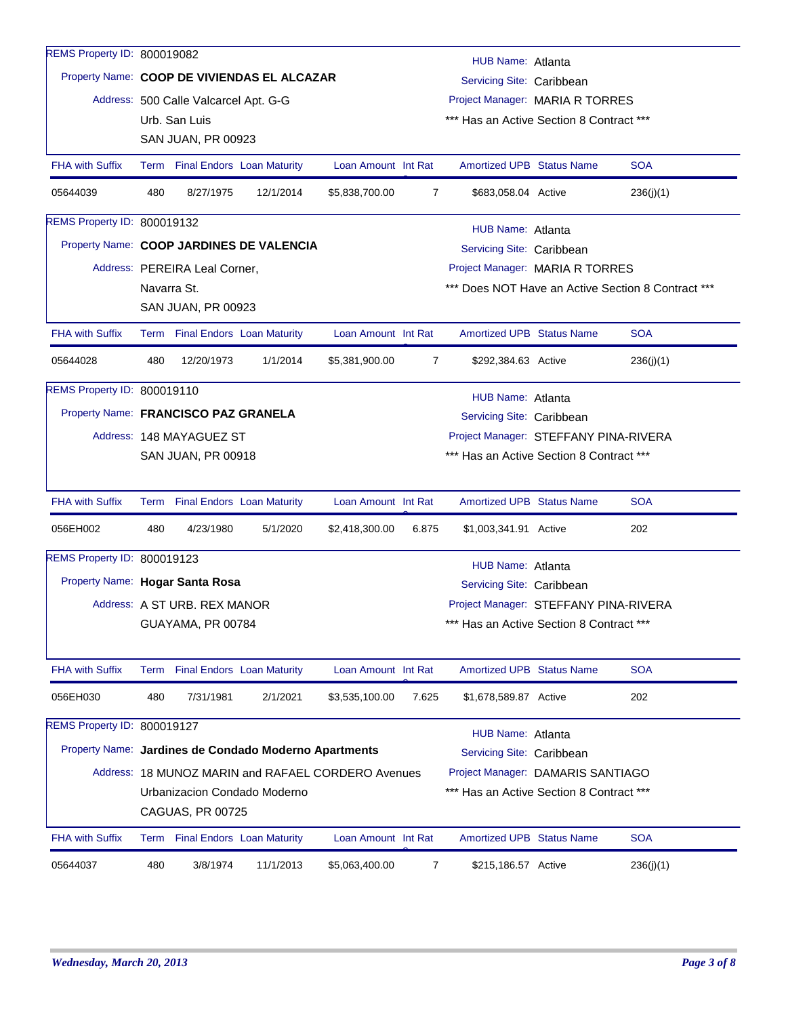| REMS Property ID: 800019082          |                                                                                                                                                                     |                                       |                                                       |                     |                                 | HUB Name: Atlanta                        |  |                                                    |  |
|--------------------------------------|---------------------------------------------------------------------------------------------------------------------------------------------------------------------|---------------------------------------|-------------------------------------------------------|---------------------|---------------------------------|------------------------------------------|--|----------------------------------------------------|--|
|                                      |                                                                                                                                                                     |                                       | Property Name: COOP DE VIVIENDAS EL ALCAZAR           |                     |                                 | Servicing Site: Caribbean                |  |                                                    |  |
|                                      |                                                                                                                                                                     | Address: 500 Calle Valcarcel Apt. G-G |                                                       |                     | Project Manager: MARIA R TORRES |                                          |  |                                                    |  |
|                                      |                                                                                                                                                                     | Urb. San Luis                         |                                                       |                     |                                 | *** Has an Active Section 8 Contract *** |  |                                                    |  |
|                                      |                                                                                                                                                                     | SAN JUAN, PR 00923                    |                                                       |                     |                                 |                                          |  |                                                    |  |
| <b>FHA with Suffix</b>               |                                                                                                                                                                     |                                       | Term Final Endors Loan Maturity                       | Loan Amount Int Rat |                                 | <b>Amortized UPB Status Name</b>         |  | <b>SOA</b>                                         |  |
| 05644039                             | 480                                                                                                                                                                 | 8/27/1975                             | 12/1/2014                                             | \$5,838,700.00      | 7                               | \$683,058.04 Active                      |  | 236(j)(1)                                          |  |
| REMS Property ID: 800019132          |                                                                                                                                                                     |                                       |                                                       |                     |                                 | HUB Name: Atlanta                        |  |                                                    |  |
|                                      |                                                                                                                                                                     |                                       | Property Name: COOP JARDINES DE VALENCIA              |                     |                                 | Servicing Site: Caribbean                |  |                                                    |  |
|                                      |                                                                                                                                                                     | Address: PEREIRA Leal Corner,         |                                                       |                     |                                 | Project Manager: MARIA R TORRES          |  |                                                    |  |
|                                      |                                                                                                                                                                     | Navarra St.                           |                                                       |                     |                                 |                                          |  | *** Does NOT Have an Active Section 8 Contract *** |  |
|                                      |                                                                                                                                                                     | <b>SAN JUAN, PR 00923</b>             |                                                       |                     |                                 |                                          |  |                                                    |  |
| <b>FHA with Suffix</b>               |                                                                                                                                                                     |                                       | Term Final Endors Loan Maturity                       | Loan Amount Int Rat |                                 | <b>Amortized UPB Status Name</b>         |  | <b>SOA</b>                                         |  |
| 05644028                             | 480                                                                                                                                                                 | 12/20/1973                            | 1/1/2014                                              | \$5,381,900.00      | 7                               | \$292,384.63 Active                      |  | 236(j)(1)                                          |  |
| REMS Property ID: 800019110          |                                                                                                                                                                     |                                       |                                                       |                     |                                 | HUB Name: Atlanta                        |  |                                                    |  |
| Property Name: FRANCISCO PAZ GRANELA |                                                                                                                                                                     |                                       |                                                       |                     |                                 | Servicing Site: Caribbean                |  |                                                    |  |
|                                      |                                                                                                                                                                     | Address: 148 MAYAGUEZ ST              |                                                       |                     |                                 | Project Manager: STEFFANY PINA-RIVERA    |  |                                                    |  |
|                                      |                                                                                                                                                                     | SAN JUAN, PR 00918                    |                                                       |                     |                                 | *** Has an Active Section 8 Contract *** |  |                                                    |  |
|                                      |                                                                                                                                                                     |                                       |                                                       |                     |                                 |                                          |  |                                                    |  |
| <b>FHA with Suffix</b>               |                                                                                                                                                                     |                                       | Term Final Endors Loan Maturity                       | Loan Amount Int Rat |                                 | <b>Amortized UPB Status Name</b>         |  | <b>SOA</b>                                         |  |
| 056EH002                             | 480                                                                                                                                                                 | 4/23/1980                             | 5/1/2020                                              | \$2,418,300.00      | 6.875                           | \$1,003,341.91 Active                    |  | 202                                                |  |
| REMS Property ID: 800019123          |                                                                                                                                                                     |                                       |                                                       |                     |                                 | <b>HUB Name: Atlanta</b>                 |  |                                                    |  |
| Property Name: Hogar Santa Rosa      |                                                                                                                                                                     |                                       |                                                       |                     |                                 | Servicing Site: Caribbean                |  |                                                    |  |
|                                      |                                                                                                                                                                     | Address: A ST URB, REX MANOR          |                                                       |                     |                                 | Project Manager: STEFFANY PINA-RIVERA    |  |                                                    |  |
|                                      |                                                                                                                                                                     | GUAYAMA, PR 00784                     |                                                       |                     |                                 | *** Has an Active Section 8 Contract *** |  |                                                    |  |
|                                      |                                                                                                                                                                     |                                       |                                                       |                     |                                 |                                          |  |                                                    |  |
| <b>FHA with Suffix</b>               | Term                                                                                                                                                                |                                       | <b>Final Endors</b> Loan Maturity                     | Loan Amount Int Rat |                                 | <b>Amortized UPB Status Name</b>         |  | <b>SOA</b>                                         |  |
| 056EH030                             | 480                                                                                                                                                                 | 7/31/1981                             | 2/1/2021                                              | \$3,535,100.00      | 7.625                           | \$1,678,589.87 Active                    |  | 202                                                |  |
| REMS Property ID: 800019127          |                                                                                                                                                                     |                                       |                                                       |                     |                                 | HUB Name: Atlanta                        |  |                                                    |  |
|                                      |                                                                                                                                                                     |                                       | Property Name: Jardines de Condado Moderno Apartments |                     |                                 | Servicing Site: Caribbean                |  |                                                    |  |
|                                      |                                                                                                                                                                     |                                       |                                                       |                     |                                 |                                          |  |                                                    |  |
|                                      | Address: 18 MUNOZ MARIN and RAFAEL CORDERO Avenues<br>Project Manager: DAMARIS SANTIAGO<br>*** Has an Active Section 8 Contract ***<br>Urbanizacion Condado Moderno |                                       |                                                       |                     |                                 |                                          |  |                                                    |  |
|                                      |                                                                                                                                                                     | CAGUAS, PR 00725                      |                                                       |                     |                                 |                                          |  |                                                    |  |
| <b>FHA with Suffix</b>               |                                                                                                                                                                     |                                       | Term Final Endors Loan Maturity                       | Loan Amount Int Rat |                                 | <b>Amortized UPB Status Name</b>         |  | <b>SOA</b>                                         |  |
| 05644037                             | 480                                                                                                                                                                 | 3/8/1974                              | 11/1/2013                                             | \$5,063,400.00      | $\overline{7}$                  | \$215,186.57 Active                      |  | 236(j)(1)                                          |  |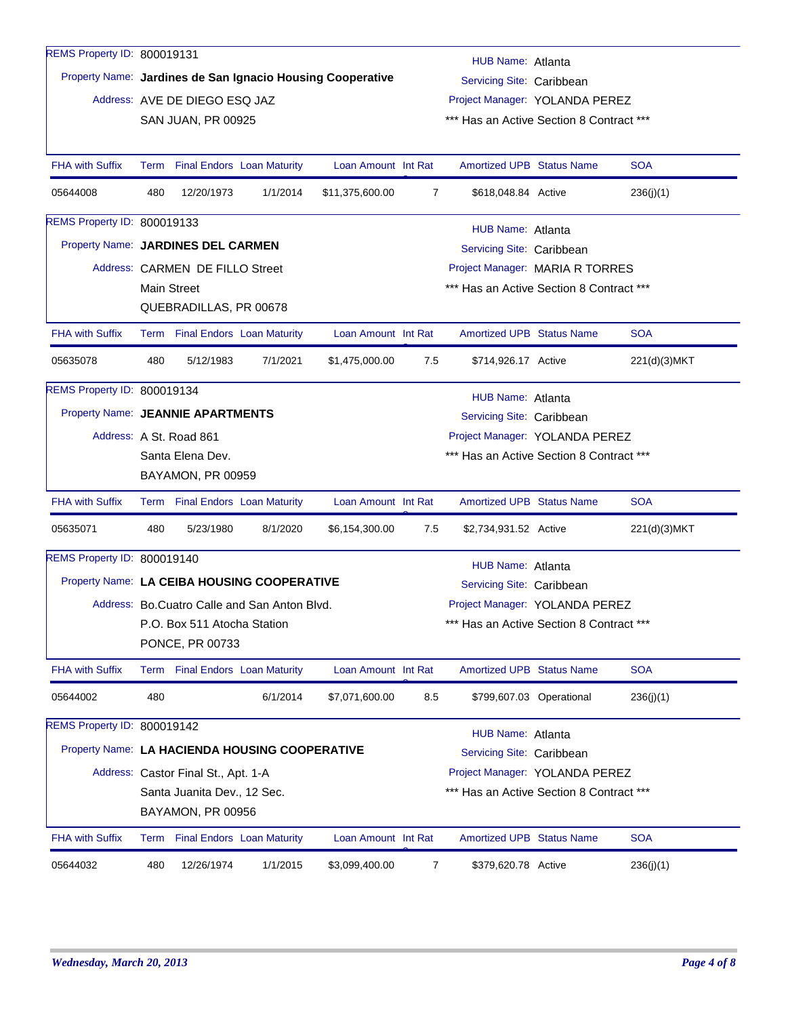| REMS Property ID: 800019131        |      |                                     |                                                |                                                            |                                | HUB Name: Atlanta                        |                          |              |  |  |
|------------------------------------|------|-------------------------------------|------------------------------------------------|------------------------------------------------------------|--------------------------------|------------------------------------------|--------------------------|--------------|--|--|
|                                    |      |                                     |                                                | Property Name: Jardines de San Ignacio Housing Cooperative |                                | Servicing Site: Caribbean                |                          |              |  |  |
|                                    |      | Address: AVE DE DIEGO ESQ JAZ       |                                                |                                                            | Project Manager: YOLANDA PEREZ |                                          |                          |              |  |  |
|                                    |      | <b>SAN JUAN, PR 00925</b>           |                                                |                                                            |                                | *** Has an Active Section 8 Contract *** |                          |              |  |  |
|                                    |      |                                     |                                                |                                                            |                                |                                          |                          |              |  |  |
| <b>FHA with Suffix</b>             | Term |                                     | <b>Final Endors Loan Maturity</b>              | Loan Amount Int Rat                                        |                                | <b>Amortized UPB Status Name</b>         |                          | <b>SOA</b>   |  |  |
| 05644008                           | 480  | 12/20/1973                          | 1/1/2014                                       | \$11,375,600.00                                            | $\overline{7}$                 | \$618,048.84 Active                      |                          | 236(j)(1)    |  |  |
| REMS Property ID: 800019133        |      |                                     |                                                |                                                            |                                | HUB Name: Atlanta                        |                          |              |  |  |
| Property Name: JARDINES DEL CARMEN |      |                                     |                                                |                                                            |                                | Servicing Site: Caribbean                |                          |              |  |  |
|                                    |      | Address: CARMEN DE FILLO Street     |                                                |                                                            |                                | Project Manager: MARIA R TORRES          |                          |              |  |  |
|                                    |      | Main Street                         |                                                |                                                            |                                | *** Has an Active Section 8 Contract *** |                          |              |  |  |
|                                    |      | QUEBRADILLAS, PR 00678              |                                                |                                                            |                                |                                          |                          |              |  |  |
| <b>FHA with Suffix</b>             |      |                                     | Term Final Endors Loan Maturity                | Loan Amount Int Rat                                        |                                | <b>Amortized UPB Status Name</b>         |                          | <b>SOA</b>   |  |  |
| 05635078                           | 480  | 5/12/1983                           | 7/1/2021                                       | \$1,475,000.00                                             | 7.5                            | \$714,926.17 Active                      |                          | 221(d)(3)MKT |  |  |
| REMS Property ID: 800019134        |      |                                     |                                                |                                                            |                                | HUB Name: Atlanta                        |                          |              |  |  |
| Property Name: JEANNIE APARTMENTS  |      |                                     |                                                |                                                            |                                | Servicing Site: Caribbean                |                          |              |  |  |
|                                    |      | Address: A St. Road 861             |                                                |                                                            |                                | Project Manager: YOLANDA PEREZ           |                          |              |  |  |
|                                    |      | Santa Elena Dev.                    |                                                |                                                            |                                | *** Has an Active Section 8 Contract *** |                          |              |  |  |
|                                    |      | BAYAMON, PR 00959                   |                                                |                                                            |                                |                                          |                          |              |  |  |
| <b>FHA with Suffix</b>             |      |                                     | Term Final Endors Loan Maturity                | Loan Amount Int Rat                                        |                                | <b>Amortized UPB Status Name</b>         |                          | <b>SOA</b>   |  |  |
| 05635071                           | 480  | 5/23/1980                           | 8/1/2020                                       | \$6,154,300.00                                             | 7.5                            | \$2,734,931.52 Active                    |                          | 221(d)(3)MKT |  |  |
| REMS Property ID: 800019140        |      |                                     |                                                |                                                            |                                | <b>HUB Name: Atlanta</b>                 |                          |              |  |  |
|                                    |      |                                     | Property Name: LA CEIBA HOUSING COOPERATIVE    |                                                            |                                | Servicing Site: Caribbean                |                          |              |  |  |
|                                    |      |                                     | Address: Bo. Cuatro Calle and San Anton Blvd.  |                                                            |                                | Project Manager: YOLANDA PEREZ           |                          |              |  |  |
|                                    |      | P.O. Box 511 Atocha Station         |                                                |                                                            |                                | *** Has an Active Section 8 Contract *** |                          |              |  |  |
|                                    |      | PONCE, PR 00733                     |                                                |                                                            |                                |                                          |                          |              |  |  |
| <b>FHA with Suffix</b>             |      |                                     | Term Final Endors Loan Maturity                | Loan Amount Int Rat                                        |                                | Amortized UPB Status Name                |                          | <b>SOA</b>   |  |  |
| 05644002                           | 480  |                                     | 6/1/2014                                       | \$7,071,600.00                                             | 8.5                            |                                          | \$799,607.03 Operational | 236(j)(1)    |  |  |
| REMS Property ID: 800019142        |      |                                     |                                                |                                                            |                                | HUB Name: Atlanta                        |                          |              |  |  |
|                                    |      |                                     | Property Name: LA HACIENDA HOUSING COOPERATIVE |                                                            |                                | Servicing Site: Caribbean                |                          |              |  |  |
|                                    |      | Address: Castor Final St., Apt. 1-A |                                                |                                                            |                                | Project Manager: YOLANDA PEREZ           |                          |              |  |  |
|                                    |      | Santa Juanita Dev., 12 Sec.         |                                                |                                                            |                                | *** Has an Active Section 8 Contract *** |                          |              |  |  |
|                                    |      | BAYAMON, PR 00956                   |                                                |                                                            |                                |                                          |                          |              |  |  |
| <b>FHA with Suffix</b>             |      |                                     | Term Final Endors Loan Maturity                | Loan Amount Int Rat                                        |                                | <b>Amortized UPB Status Name</b>         |                          | <b>SOA</b>   |  |  |
| 05644032                           | 480  | 12/26/1974                          | 1/1/2015                                       | \$3,099,400.00                                             | 7                              | \$379,620.78 Active                      |                          | 236(j)(1)    |  |  |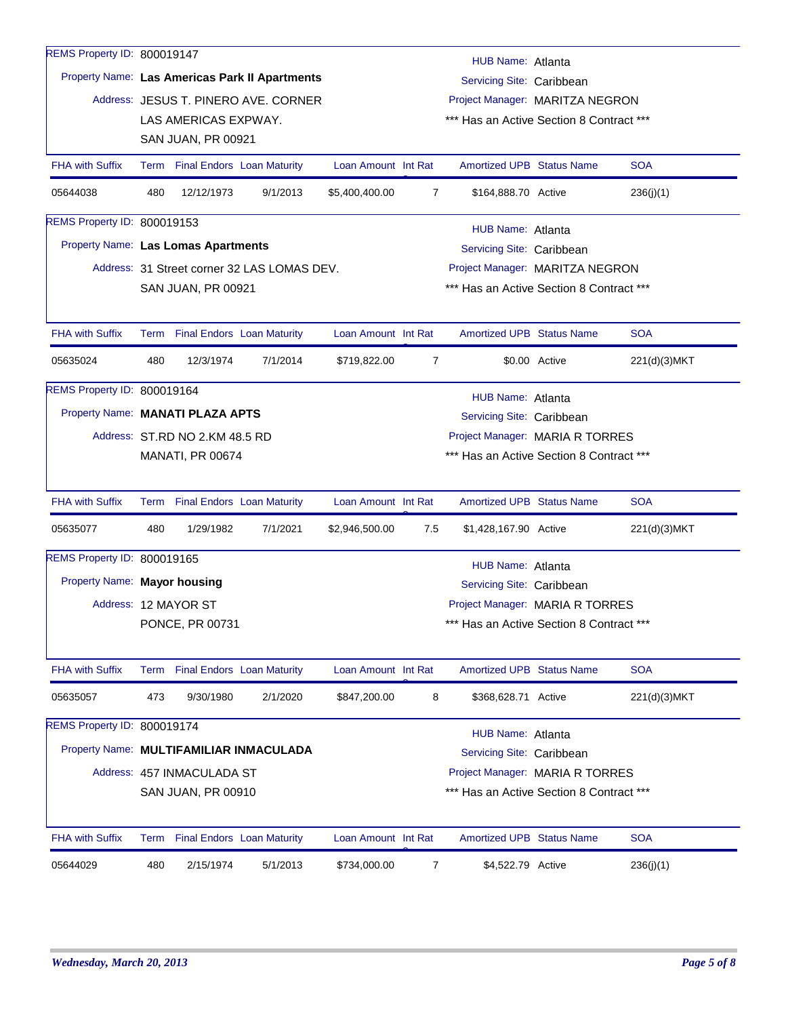| HUB Name: Atlanta<br>Property Name: Las Americas Park II Apartments<br>Servicing Site: Caribbean<br>Address: JESUS T. PINERO AVE. CORNER<br>Project Manager: MARITZA NEGRON<br>LAS AMERICAS EXPWAY.<br>*** Has an Active Section 8 Contract ***<br>SAN JUAN, PR 00921<br>Term Final Endors Loan Maturity<br><b>Amortized UPB Status Name</b><br><b>SOA</b><br><b>FHA with Suffix</b><br>Loan Amount Int Rat<br>480<br>12/12/1973<br>9/1/2013<br>05644038<br>\$5,400,400.00<br>$\overline{7}$<br>\$164,888.70 Active<br>236(j)(1)<br>REMS Property ID: 800019153<br><b>HUB Name: Atlanta</b><br>Property Name: Las Lomas Apartments<br>Servicing Site: Caribbean<br>Address: 31 Street corner 32 LAS LOMAS DEV.<br>Project Manager: MARITZA NEGRON<br>*** Has an Active Section 8 Contract ***<br><b>SAN JUAN, PR 00921</b><br><b>SOA</b><br><b>FHA with Suffix</b><br>Term Final Endors Loan Maturity<br>Loan Amount Int Rat<br><b>Amortized UPB Status Name</b><br>480<br>12/3/1974<br>7/1/2014<br>\$719,822.00<br>\$0.00 Active<br>05635024<br>7<br>221(d)(3)MKT<br>REMS Property ID: 800019164<br>HUB Name: Atlanta<br>Property Name: MANATI PLAZA APTS<br>Servicing Site: Caribbean<br>Address: ST.RD NO 2.KM 48.5 RD<br>Project Manager: MARIA R TORRES<br>*** Has an Active Section 8 Contract ***<br><b>MANATI, PR 00674</b><br><b>FHA with Suffix</b><br><b>Amortized UPB Status Name</b><br><b>SOA</b><br>Term Final Endors Loan Maturity<br>Loan Amount Int Rat<br>05635077<br>480<br>1/29/1982<br>7/1/2021<br>\$2,946,500.00<br>7.5<br>\$1,428,167.90 Active<br>221(d)(3)MKT<br>REMS Property ID: 800019165<br><b>HUB Name: Atlanta</b><br>Property Name: Mayor housing<br>Servicing Site: Caribbean<br>Project Manager: MARIA R TORRES<br>Address: 12 MAYOR ST<br>PONCE, PR 00731<br>*** Has an Active Section 8 Contract ***<br><b>SOA</b><br><b>FHA with Suffix</b><br>Term Final Endors Loan Maturity<br>Loan Amount Int Rat<br><b>Amortized UPB Status Name</b><br>473<br>9/30/1980<br>2/1/2020<br>8<br>05635057<br>\$847,200.00<br>\$368,628.71 Active<br>221(d)(3)MKT<br>REMS Property ID: 800019174<br><b>HUB Name: Atlanta</b><br>Property Name: MULTIFAMILIAR INMACULADA<br>Servicing Site: Caribbean<br>Address: 457 INMACULADA ST<br>Project Manager: MARIA R TORRES<br>*** Has an Active Section 8 Contract ***<br>SAN JUAN, PR 00910<br><b>SOA</b><br><b>FHA with Suffix</b><br><b>Final Endors</b> Loan Maturity<br>Loan Amount Int Rat<br><b>Amortized UPB Status Name</b><br>Term<br>\$4,522.79 Active | REMS Property ID: 800019147 |     |           |          |              |   |  |  |           |  |
|------------------------------------------------------------------------------------------------------------------------------------------------------------------------------------------------------------------------------------------------------------------------------------------------------------------------------------------------------------------------------------------------------------------------------------------------------------------------------------------------------------------------------------------------------------------------------------------------------------------------------------------------------------------------------------------------------------------------------------------------------------------------------------------------------------------------------------------------------------------------------------------------------------------------------------------------------------------------------------------------------------------------------------------------------------------------------------------------------------------------------------------------------------------------------------------------------------------------------------------------------------------------------------------------------------------------------------------------------------------------------------------------------------------------------------------------------------------------------------------------------------------------------------------------------------------------------------------------------------------------------------------------------------------------------------------------------------------------------------------------------------------------------------------------------------------------------------------------------------------------------------------------------------------------------------------------------------------------------------------------------------------------------------------------------------------------------------------------------------------------------------------------------------------------------------------------------------------------------------------------------------------------------------------------------------------------------------------------------------------------------------------------------------------------------------------------------------------------------------------------------------------------------------|-----------------------------|-----|-----------|----------|--------------|---|--|--|-----------|--|
|                                                                                                                                                                                                                                                                                                                                                                                                                                                                                                                                                                                                                                                                                                                                                                                                                                                                                                                                                                                                                                                                                                                                                                                                                                                                                                                                                                                                                                                                                                                                                                                                                                                                                                                                                                                                                                                                                                                                                                                                                                                                                                                                                                                                                                                                                                                                                                                                                                                                                                                                    |                             |     |           |          |              |   |  |  |           |  |
|                                                                                                                                                                                                                                                                                                                                                                                                                                                                                                                                                                                                                                                                                                                                                                                                                                                                                                                                                                                                                                                                                                                                                                                                                                                                                                                                                                                                                                                                                                                                                                                                                                                                                                                                                                                                                                                                                                                                                                                                                                                                                                                                                                                                                                                                                                                                                                                                                                                                                                                                    |                             |     |           |          |              |   |  |  |           |  |
|                                                                                                                                                                                                                                                                                                                                                                                                                                                                                                                                                                                                                                                                                                                                                                                                                                                                                                                                                                                                                                                                                                                                                                                                                                                                                                                                                                                                                                                                                                                                                                                                                                                                                                                                                                                                                                                                                                                                                                                                                                                                                                                                                                                                                                                                                                                                                                                                                                                                                                                                    |                             |     |           |          |              |   |  |  |           |  |
|                                                                                                                                                                                                                                                                                                                                                                                                                                                                                                                                                                                                                                                                                                                                                                                                                                                                                                                                                                                                                                                                                                                                                                                                                                                                                                                                                                                                                                                                                                                                                                                                                                                                                                                                                                                                                                                                                                                                                                                                                                                                                                                                                                                                                                                                                                                                                                                                                                                                                                                                    |                             |     |           |          |              |   |  |  |           |  |
|                                                                                                                                                                                                                                                                                                                                                                                                                                                                                                                                                                                                                                                                                                                                                                                                                                                                                                                                                                                                                                                                                                                                                                                                                                                                                                                                                                                                                                                                                                                                                                                                                                                                                                                                                                                                                                                                                                                                                                                                                                                                                                                                                                                                                                                                                                                                                                                                                                                                                                                                    |                             |     |           |          |              |   |  |  |           |  |
|                                                                                                                                                                                                                                                                                                                                                                                                                                                                                                                                                                                                                                                                                                                                                                                                                                                                                                                                                                                                                                                                                                                                                                                                                                                                                                                                                                                                                                                                                                                                                                                                                                                                                                                                                                                                                                                                                                                                                                                                                                                                                                                                                                                                                                                                                                                                                                                                                                                                                                                                    |                             |     |           |          |              |   |  |  |           |  |
|                                                                                                                                                                                                                                                                                                                                                                                                                                                                                                                                                                                                                                                                                                                                                                                                                                                                                                                                                                                                                                                                                                                                                                                                                                                                                                                                                                                                                                                                                                                                                                                                                                                                                                                                                                                                                                                                                                                                                                                                                                                                                                                                                                                                                                                                                                                                                                                                                                                                                                                                    |                             |     |           |          |              |   |  |  |           |  |
|                                                                                                                                                                                                                                                                                                                                                                                                                                                                                                                                                                                                                                                                                                                                                                                                                                                                                                                                                                                                                                                                                                                                                                                                                                                                                                                                                                                                                                                                                                                                                                                                                                                                                                                                                                                                                                                                                                                                                                                                                                                                                                                                                                                                                                                                                                                                                                                                                                                                                                                                    |                             |     |           |          |              |   |  |  |           |  |
|                                                                                                                                                                                                                                                                                                                                                                                                                                                                                                                                                                                                                                                                                                                                                                                                                                                                                                                                                                                                                                                                                                                                                                                                                                                                                                                                                                                                                                                                                                                                                                                                                                                                                                                                                                                                                                                                                                                                                                                                                                                                                                                                                                                                                                                                                                                                                                                                                                                                                                                                    |                             |     |           |          |              |   |  |  |           |  |
|                                                                                                                                                                                                                                                                                                                                                                                                                                                                                                                                                                                                                                                                                                                                                                                                                                                                                                                                                                                                                                                                                                                                                                                                                                                                                                                                                                                                                                                                                                                                                                                                                                                                                                                                                                                                                                                                                                                                                                                                                                                                                                                                                                                                                                                                                                                                                                                                                                                                                                                                    |                             |     |           |          |              |   |  |  |           |  |
|                                                                                                                                                                                                                                                                                                                                                                                                                                                                                                                                                                                                                                                                                                                                                                                                                                                                                                                                                                                                                                                                                                                                                                                                                                                                                                                                                                                                                                                                                                                                                                                                                                                                                                                                                                                                                                                                                                                                                                                                                                                                                                                                                                                                                                                                                                                                                                                                                                                                                                                                    |                             |     |           |          |              |   |  |  |           |  |
|                                                                                                                                                                                                                                                                                                                                                                                                                                                                                                                                                                                                                                                                                                                                                                                                                                                                                                                                                                                                                                                                                                                                                                                                                                                                                                                                                                                                                                                                                                                                                                                                                                                                                                                                                                                                                                                                                                                                                                                                                                                                                                                                                                                                                                                                                                                                                                                                                                                                                                                                    |                             |     |           |          |              |   |  |  |           |  |
|                                                                                                                                                                                                                                                                                                                                                                                                                                                                                                                                                                                                                                                                                                                                                                                                                                                                                                                                                                                                                                                                                                                                                                                                                                                                                                                                                                                                                                                                                                                                                                                                                                                                                                                                                                                                                                                                                                                                                                                                                                                                                                                                                                                                                                                                                                                                                                                                                                                                                                                                    |                             |     |           |          |              |   |  |  |           |  |
|                                                                                                                                                                                                                                                                                                                                                                                                                                                                                                                                                                                                                                                                                                                                                                                                                                                                                                                                                                                                                                                                                                                                                                                                                                                                                                                                                                                                                                                                                                                                                                                                                                                                                                                                                                                                                                                                                                                                                                                                                                                                                                                                                                                                                                                                                                                                                                                                                                                                                                                                    |                             |     |           |          |              |   |  |  |           |  |
|                                                                                                                                                                                                                                                                                                                                                                                                                                                                                                                                                                                                                                                                                                                                                                                                                                                                                                                                                                                                                                                                                                                                                                                                                                                                                                                                                                                                                                                                                                                                                                                                                                                                                                                                                                                                                                                                                                                                                                                                                                                                                                                                                                                                                                                                                                                                                                                                                                                                                                                                    |                             |     |           |          |              |   |  |  |           |  |
|                                                                                                                                                                                                                                                                                                                                                                                                                                                                                                                                                                                                                                                                                                                                                                                                                                                                                                                                                                                                                                                                                                                                                                                                                                                                                                                                                                                                                                                                                                                                                                                                                                                                                                                                                                                                                                                                                                                                                                                                                                                                                                                                                                                                                                                                                                                                                                                                                                                                                                                                    |                             |     |           |          |              |   |  |  |           |  |
|                                                                                                                                                                                                                                                                                                                                                                                                                                                                                                                                                                                                                                                                                                                                                                                                                                                                                                                                                                                                                                                                                                                                                                                                                                                                                                                                                                                                                                                                                                                                                                                                                                                                                                                                                                                                                                                                                                                                                                                                                                                                                                                                                                                                                                                                                                                                                                                                                                                                                                                                    |                             |     |           |          |              |   |  |  |           |  |
|                                                                                                                                                                                                                                                                                                                                                                                                                                                                                                                                                                                                                                                                                                                                                                                                                                                                                                                                                                                                                                                                                                                                                                                                                                                                                                                                                                                                                                                                                                                                                                                                                                                                                                                                                                                                                                                                                                                                                                                                                                                                                                                                                                                                                                                                                                                                                                                                                                                                                                                                    |                             |     |           |          |              |   |  |  |           |  |
|                                                                                                                                                                                                                                                                                                                                                                                                                                                                                                                                                                                                                                                                                                                                                                                                                                                                                                                                                                                                                                                                                                                                                                                                                                                                                                                                                                                                                                                                                                                                                                                                                                                                                                                                                                                                                                                                                                                                                                                                                                                                                                                                                                                                                                                                                                                                                                                                                                                                                                                                    |                             |     |           |          |              |   |  |  |           |  |
|                                                                                                                                                                                                                                                                                                                                                                                                                                                                                                                                                                                                                                                                                                                                                                                                                                                                                                                                                                                                                                                                                                                                                                                                                                                                                                                                                                                                                                                                                                                                                                                                                                                                                                                                                                                                                                                                                                                                                                                                                                                                                                                                                                                                                                                                                                                                                                                                                                                                                                                                    |                             |     |           |          |              |   |  |  |           |  |
|                                                                                                                                                                                                                                                                                                                                                                                                                                                                                                                                                                                                                                                                                                                                                                                                                                                                                                                                                                                                                                                                                                                                                                                                                                                                                                                                                                                                                                                                                                                                                                                                                                                                                                                                                                                                                                                                                                                                                                                                                                                                                                                                                                                                                                                                                                                                                                                                                                                                                                                                    |                             |     |           |          |              |   |  |  |           |  |
|                                                                                                                                                                                                                                                                                                                                                                                                                                                                                                                                                                                                                                                                                                                                                                                                                                                                                                                                                                                                                                                                                                                                                                                                                                                                                                                                                                                                                                                                                                                                                                                                                                                                                                                                                                                                                                                                                                                                                                                                                                                                                                                                                                                                                                                                                                                                                                                                                                                                                                                                    |                             |     |           |          |              |   |  |  |           |  |
|                                                                                                                                                                                                                                                                                                                                                                                                                                                                                                                                                                                                                                                                                                                                                                                                                                                                                                                                                                                                                                                                                                                                                                                                                                                                                                                                                                                                                                                                                                                                                                                                                                                                                                                                                                                                                                                                                                                                                                                                                                                                                                                                                                                                                                                                                                                                                                                                                                                                                                                                    |                             |     |           |          |              |   |  |  |           |  |
|                                                                                                                                                                                                                                                                                                                                                                                                                                                                                                                                                                                                                                                                                                                                                                                                                                                                                                                                                                                                                                                                                                                                                                                                                                                                                                                                                                                                                                                                                                                                                                                                                                                                                                                                                                                                                                                                                                                                                                                                                                                                                                                                                                                                                                                                                                                                                                                                                                                                                                                                    |                             |     |           |          |              |   |  |  |           |  |
|                                                                                                                                                                                                                                                                                                                                                                                                                                                                                                                                                                                                                                                                                                                                                                                                                                                                                                                                                                                                                                                                                                                                                                                                                                                                                                                                                                                                                                                                                                                                                                                                                                                                                                                                                                                                                                                                                                                                                                                                                                                                                                                                                                                                                                                                                                                                                                                                                                                                                                                                    |                             |     |           |          |              |   |  |  |           |  |
|                                                                                                                                                                                                                                                                                                                                                                                                                                                                                                                                                                                                                                                                                                                                                                                                                                                                                                                                                                                                                                                                                                                                                                                                                                                                                                                                                                                                                                                                                                                                                                                                                                                                                                                                                                                                                                                                                                                                                                                                                                                                                                                                                                                                                                                                                                                                                                                                                                                                                                                                    |                             |     |           |          |              |   |  |  |           |  |
|                                                                                                                                                                                                                                                                                                                                                                                                                                                                                                                                                                                                                                                                                                                                                                                                                                                                                                                                                                                                                                                                                                                                                                                                                                                                                                                                                                                                                                                                                                                                                                                                                                                                                                                                                                                                                                                                                                                                                                                                                                                                                                                                                                                                                                                                                                                                                                                                                                                                                                                                    |                             |     |           |          |              |   |  |  |           |  |
|                                                                                                                                                                                                                                                                                                                                                                                                                                                                                                                                                                                                                                                                                                                                                                                                                                                                                                                                                                                                                                                                                                                                                                                                                                                                                                                                                                                                                                                                                                                                                                                                                                                                                                                                                                                                                                                                                                                                                                                                                                                                                                                                                                                                                                                                                                                                                                                                                                                                                                                                    |                             |     |           |          |              |   |  |  |           |  |
|                                                                                                                                                                                                                                                                                                                                                                                                                                                                                                                                                                                                                                                                                                                                                                                                                                                                                                                                                                                                                                                                                                                                                                                                                                                                                                                                                                                                                                                                                                                                                                                                                                                                                                                                                                                                                                                                                                                                                                                                                                                                                                                                                                                                                                                                                                                                                                                                                                                                                                                                    |                             |     |           |          |              |   |  |  |           |  |
|                                                                                                                                                                                                                                                                                                                                                                                                                                                                                                                                                                                                                                                                                                                                                                                                                                                                                                                                                                                                                                                                                                                                                                                                                                                                                                                                                                                                                                                                                                                                                                                                                                                                                                                                                                                                                                                                                                                                                                                                                                                                                                                                                                                                                                                                                                                                                                                                                                                                                                                                    |                             |     |           |          |              |   |  |  |           |  |
|                                                                                                                                                                                                                                                                                                                                                                                                                                                                                                                                                                                                                                                                                                                                                                                                                                                                                                                                                                                                                                                                                                                                                                                                                                                                                                                                                                                                                                                                                                                                                                                                                                                                                                                                                                                                                                                                                                                                                                                                                                                                                                                                                                                                                                                                                                                                                                                                                                                                                                                                    | 05644029                    | 480 | 2/15/1974 | 5/1/2013 | \$734,000.00 | 7 |  |  | 236(j)(1) |  |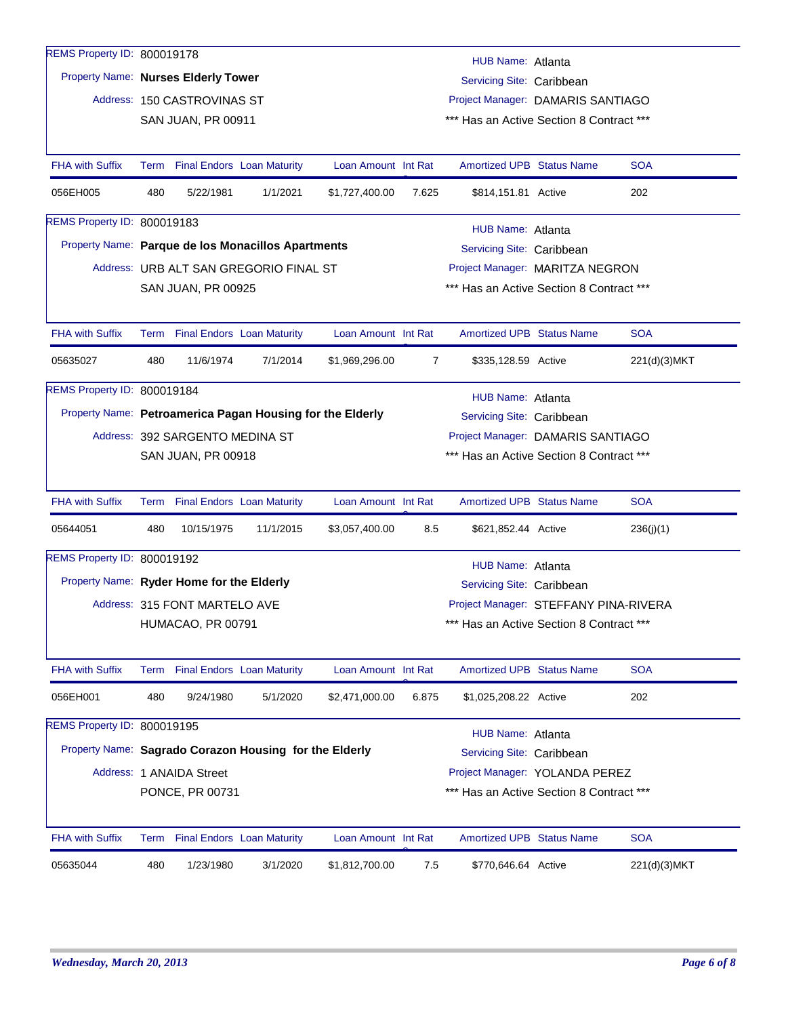| REMS Property ID: 800019178                               |      |                                   |                                        |                     |                | HUB Name: Atlanta                        |  |              |  |  |
|-----------------------------------------------------------|------|-----------------------------------|----------------------------------------|---------------------|----------------|------------------------------------------|--|--------------|--|--|
| Property Name: Nurses Elderly Tower                       |      |                                   |                                        |                     |                | Servicing Site: Caribbean                |  |              |  |  |
|                                                           |      | Address: 150 CASTROVINAS ST       |                                        |                     |                | Project Manager: DAMARIS SANTIAGO        |  |              |  |  |
|                                                           |      | <b>SAN JUAN, PR 00911</b>         |                                        |                     |                | *** Has an Active Section 8 Contract *** |  |              |  |  |
|                                                           |      |                                   |                                        |                     |                |                                          |  |              |  |  |
| <b>FHA with Suffix</b>                                    |      | Term Final Endors Loan Maturity   |                                        | Loan Amount Int Rat |                | <b>Amortized UPB Status Name</b>         |  | <b>SOA</b>   |  |  |
| 056EH005                                                  | 480  | 5/22/1981                         | 1/1/2021                               | \$1,727,400.00      | 7.625          | \$814,151.81 Active                      |  | 202          |  |  |
| REMS Property ID: 800019183                               |      |                                   |                                        |                     |                | HUB Name: Atlanta                        |  |              |  |  |
| Property Name: Parque de los Monacillos Apartments        |      |                                   |                                        |                     |                | Servicing Site: Caribbean                |  |              |  |  |
|                                                           |      |                                   | Address: URB ALT SAN GREGORIO FINAL ST |                     |                | Project Manager: MARITZA NEGRON          |  |              |  |  |
|                                                           |      | SAN JUAN, PR 00925                |                                        |                     |                | *** Has an Active Section 8 Contract *** |  |              |  |  |
|                                                           |      |                                   |                                        |                     |                |                                          |  |              |  |  |
| <b>FHA with Suffix</b>                                    |      | Term Final Endors Loan Maturity   |                                        | Loan Amount Int Rat |                | <b>Amortized UPB Status Name</b>         |  | <b>SOA</b>   |  |  |
| 05635027                                                  | 480  | 11/6/1974                         | 7/1/2014                               | \$1,969,296.00      | $\overline{7}$ | \$335,128.59 Active                      |  | 221(d)(3)MKT |  |  |
| REMS Property ID: 800019184                               |      |                                   |                                        |                     |                | HUB Name: Atlanta                        |  |              |  |  |
| Property Name: Petroamerica Pagan Housing for the Elderly |      |                                   |                                        |                     |                | Servicing Site: Caribbean                |  |              |  |  |
|                                                           |      | Address: 392 SARGENTO MEDINA ST   |                                        |                     |                | Project Manager: DAMARIS SANTIAGO        |  |              |  |  |
|                                                           |      | <b>SAN JUAN, PR 00918</b>         |                                        |                     |                | *** Has an Active Section 8 Contract *** |  |              |  |  |
|                                                           |      |                                   |                                        |                     |                |                                          |  |              |  |  |
| <b>FHA with Suffix</b>                                    | Term | <b>Final Endors Loan Maturity</b> |                                        | Loan Amount Int Rat |                | Amortized UPB Status Name                |  | <b>SOA</b>   |  |  |
| 05644051                                                  | 480  | 10/15/1975                        | 11/1/2015                              | \$3,057,400.00      | 8.5            | \$621,852.44 Active                      |  | 236(j)(1)    |  |  |
| REMS Property ID: 800019192                               |      |                                   |                                        |                     |                | HUB Name: Atlanta                        |  |              |  |  |
| Property Name: Ryder Home for the Elderly                 |      |                                   |                                        |                     |                | Servicing Site: Caribbean                |  |              |  |  |
|                                                           |      | Address: 315 FONT MARTELO AVE     |                                        |                     |                | Project Manager: STEFFANY PINA-RIVERA    |  |              |  |  |
|                                                           |      | HUMACAO, PR 00791                 |                                        |                     |                | *** Has an Active Section 8 Contract *** |  |              |  |  |
|                                                           |      |                                   |                                        |                     |                |                                          |  |              |  |  |
| FHA with Suffix                                           |      | Term Final Endors Loan Maturity   |                                        | Loan Amount Int Rat |                | Amortized UPB Status Name                |  | <b>SOA</b>   |  |  |
| 056EH001                                                  | 480  | 9/24/1980                         | 5/1/2020                               | \$2,471,000.00      | 6.875          | \$1,025,208.22 Active                    |  | 202          |  |  |
| REMS Property ID: 800019195                               |      |                                   |                                        |                     |                | <b>HUB Name: Atlanta</b>                 |  |              |  |  |
| Property Name: Sagrado Corazon Housing for the Elderly    |      |                                   |                                        |                     |                | Servicing Site: Caribbean                |  |              |  |  |
|                                                           |      | Address: 1 ANAIDA Street          |                                        |                     |                | Project Manager: YOLANDA PEREZ           |  |              |  |  |
|                                                           |      | PONCE, PR 00731                   |                                        |                     |                | *** Has an Active Section 8 Contract *** |  |              |  |  |
|                                                           |      |                                   |                                        |                     |                |                                          |  |              |  |  |
| <b>FHA with Suffix</b>                                    |      | Term Final Endors Loan Maturity   |                                        | Loan Amount Int Rat |                | <b>Amortized UPB Status Name</b>         |  | <b>SOA</b>   |  |  |
| 05635044                                                  | 480  | 1/23/1980                         | 3/1/2020                               | \$1,812,700.00      | 7.5            | \$770,646.64 Active                      |  | 221(d)(3)MKT |  |  |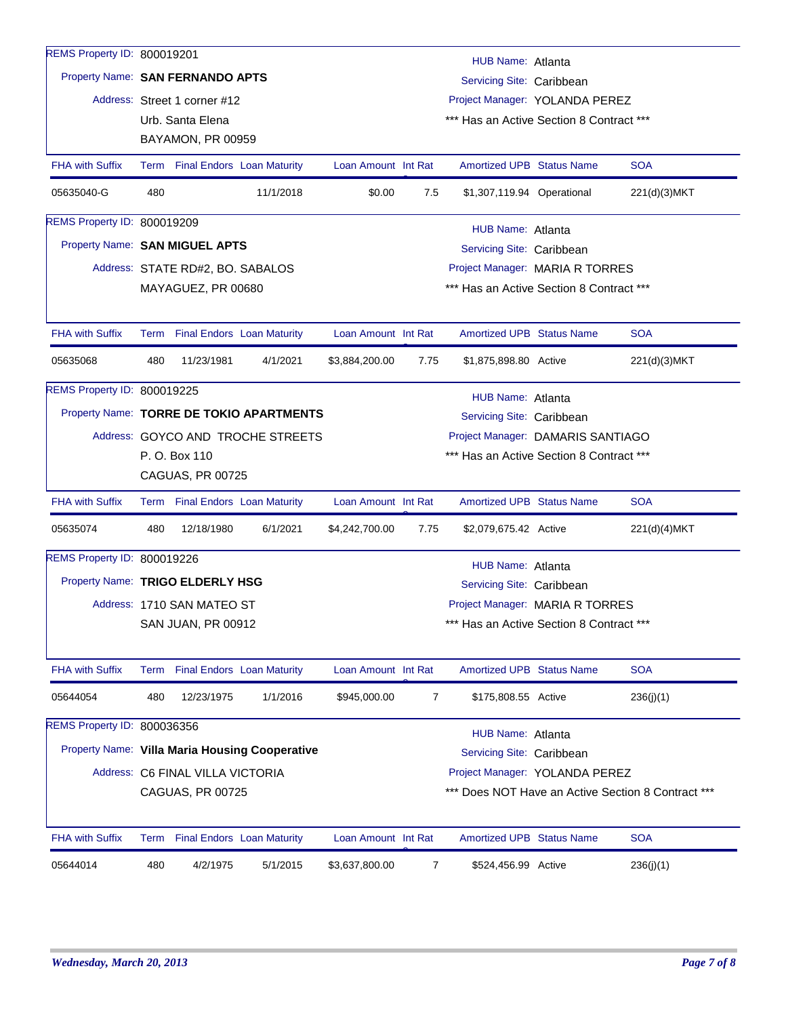| REMS Property ID: 800019201      |     |                                  |                                                |                     |                | HUB Name: Atlanta                        |                                      |                                                    |
|----------------------------------|-----|----------------------------------|------------------------------------------------|---------------------|----------------|------------------------------------------|--------------------------------------|----------------------------------------------------|
| Property Name: SAN FERNANDO APTS |     |                                  |                                                |                     |                | Servicing Site: Caribbean                |                                      |                                                    |
|                                  |     | Address: Street 1 corner #12     |                                                |                     |                | Project Manager: YOLANDA PEREZ           |                                      |                                                    |
|                                  |     | Urb. Santa Elena                 |                                                |                     |                | *** Has an Active Section 8 Contract *** |                                      |                                                    |
|                                  |     | BAYAMON, PR 00959                |                                                |                     |                |                                          |                                      |                                                    |
| <b>FHA with Suffix</b>           |     | Term Final Endors Loan Maturity  |                                                | Loan Amount Int Rat |                | <b>Amortized UPB Status Name</b>         |                                      | <b>SOA</b>                                         |
| 05635040-G                       | 480 |                                  | 11/1/2018                                      | \$0.00              | 7.5            | \$1,307,119.94 Operational               |                                      | 221(d)(3)MKT                                       |
| REMS Property ID: 800019209      |     |                                  |                                                |                     |                | HUB Name: Atlanta                        |                                      |                                                    |
| Property Name: SAN MIGUEL APTS   |     |                                  |                                                |                     |                | Servicing Site: Caribbean                |                                      |                                                    |
|                                  |     | Address: STATE RD#2, BO. SABALOS |                                                |                     |                | Project Manager: MARIA R TORRES          |                                      |                                                    |
|                                  |     | MAYAGUEZ, PR 00680               |                                                |                     |                | *** Has an Active Section 8 Contract *** |                                      |                                                    |
|                                  |     |                                  |                                                |                     |                |                                          |                                      |                                                    |
| <b>FHA with Suffix</b>           |     | Term Final Endors Loan Maturity  |                                                | Loan Amount Int Rat |                | <b>Amortized UPB Status Name</b>         |                                      | <b>SOA</b>                                         |
| 05635068                         | 480 | 11/23/1981                       | 4/1/2021                                       | \$3,884,200.00      | 7.75           | \$1,875,898.80 Active                    |                                      | 221(d)(3)MKT                                       |
| REMS Property ID: 800019225      |     |                                  |                                                |                     |                | HUB Name: Atlanta                        |                                      |                                                    |
|                                  |     |                                  | Property Name: TORRE DE TOKIO APARTMENTS       |                     |                | Servicing Site: Caribbean                |                                      |                                                    |
|                                  |     |                                  | Address: GOYCO AND TROCHE STREETS              |                     |                | Project Manager: DAMARIS SANTIAGO        |                                      |                                                    |
|                                  |     | P. O. Box 110                    |                                                |                     |                | *** Has an Active Section 8 Contract *** |                                      |                                                    |
|                                  |     | CAGUAS, PR 00725                 |                                                |                     |                |                                          |                                      |                                                    |
| <b>FHA with Suffix</b>           |     | Term Final Endors Loan Maturity  |                                                | Loan Amount Int Rat |                | <b>Amortized UPB Status Name</b>         |                                      | <b>SOA</b>                                         |
| 05635074                         | 480 | 12/18/1980                       | 6/1/2021                                       | \$4,242,700.00      | 7.75           | \$2,079,675.42 Active                    |                                      | 221(d)(4)MKT                                       |
| REMS Property ID: 800019226      |     |                                  |                                                |                     |                | <b>HUB Name: Atlanta</b>                 |                                      |                                                    |
| Property Name: TRIGO ELDERLY HSG |     |                                  |                                                |                     |                | Servicing Site: Caribbean                |                                      |                                                    |
|                                  |     | Address: 1710 SAN MATEO ST       |                                                |                     |                | Project Manager: MARIA R TORRES          |                                      |                                                    |
|                                  |     | SAN JUAN, PR 00912               |                                                |                     |                |                                          | Has an Active Section 8 Contract *** |                                                    |
|                                  |     |                                  |                                                |                     |                |                                          |                                      |                                                    |
| <b>FHA with Suffix</b>           |     | Term Final Endors Loan Maturity  |                                                | Loan Amount Int Rat |                | <b>Amortized UPB Status Name</b>         |                                      | <b>SOA</b>                                         |
| 05644054                         | 480 | 12/23/1975                       | 1/1/2016                                       | \$945,000.00        | $\overline{7}$ | \$175,808.55 Active                      |                                      | 236(j)(1)                                          |
| REMS Property ID: 800036356      |     |                                  |                                                |                     |                | HUB Name: Atlanta                        |                                      |                                                    |
|                                  |     |                                  | Property Name: Villa Maria Housing Cooperative |                     |                | Servicing Site: Caribbean                |                                      |                                                    |
|                                  |     | Address: C6 FINAL VILLA VICTORIA |                                                |                     |                | Project Manager: YOLANDA PEREZ           |                                      |                                                    |
|                                  |     | CAGUAS, PR 00725                 |                                                |                     |                |                                          |                                      | *** Does NOT Have an Active Section 8 Contract *** |
| <b>FHA with Suffix</b>           |     | Term Final Endors Loan Maturity  |                                                | Loan Amount Int Rat |                | <b>Amortized UPB Status Name</b>         |                                      | <b>SOA</b>                                         |
| 05644014                         | 480 | 4/2/1975                         | 5/1/2015                                       | \$3,637,800.00      | $\overline{7}$ | \$524,456.99 Active                      |                                      | 236(j)(1)                                          |